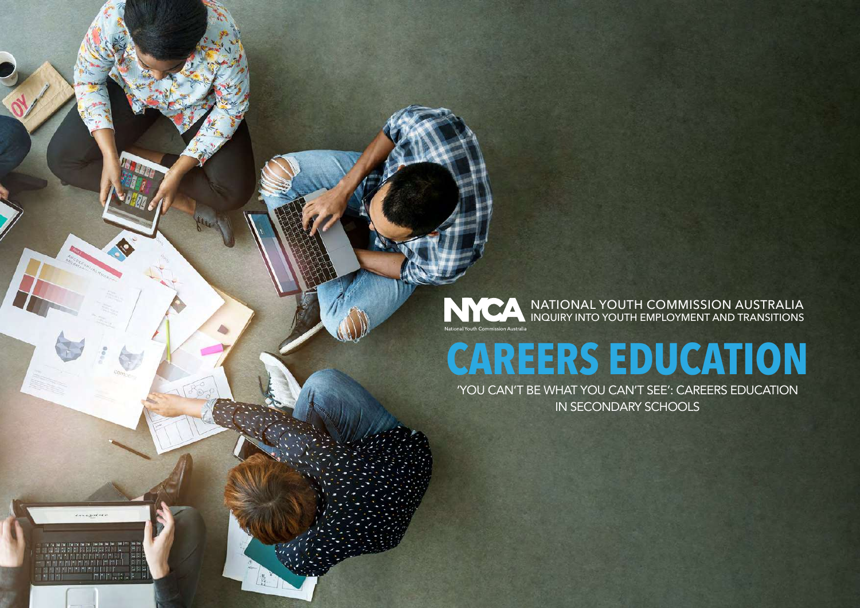## NATIONAL YOUTH COMMISSION AUSTRALIA INQUIRY INTO YOUTH EMPLOYMENT AND TRANSITIONS

# **CAREERS EDUCATION**

'YOU CAN'T BE WHAT YOU CAN'T SEE': CAREERS EDUCATION IN SECONDARY SCHOOLS

*engancies* 

图图图

值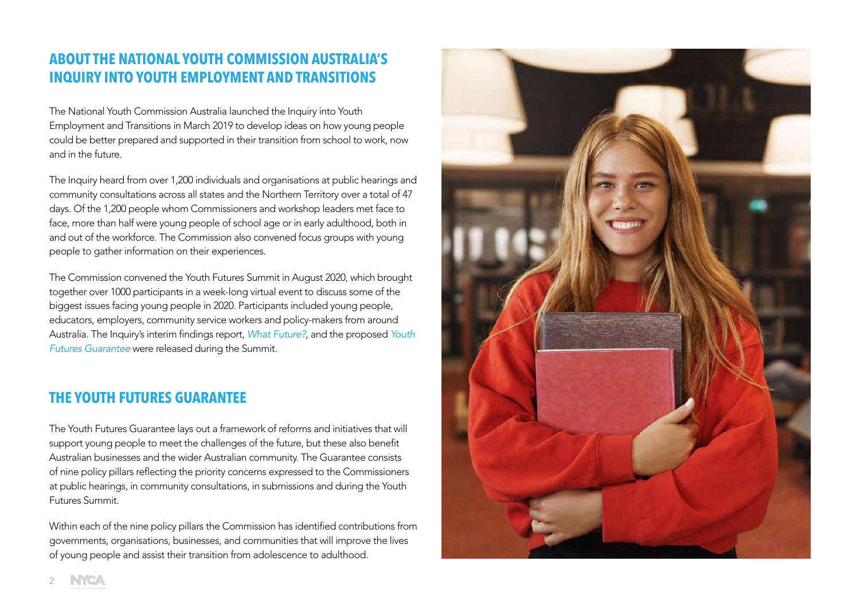# **ABOUT THE NATIONAL YOUTH COMMISSION AUSTRALIA'S INQUIRY INTO YOUTH EMPLOYMENT AND TRANSITIONS**

The National Youth Commission Australia launched the Inquiry into Youth Employment and Transitions in March 2019 to develop ideas on how young people could be better prepared and supported in their transition from school to work, now and in the future.

The Inquiry heard from over 1,200 individuals and organisations at public hearings and community consultations across all states and the Northern Territory over a total of 47 days. Of the 1,200 people whom Commissioners and workshop leaders met face to face, more than half were young people of school age or in early adulthood, both in and out of the workforce. The Commission also convened focus groups with young people to gather information on their experiences.

The Commission convened the Youth Futures Summit in August 2020, which brought together over 1000 participants in a week-long virtual event to discuss some of the biggest issues facing young people in 2020. Participants included young people, educators, employers, community service workers and policy-makers from around Australia. The Inquiry's interim findings report, *[What Future?](https://nycinquiry.org.au/wp-content/uploads/2020/08/NYCA-Interim-Report-2020-2.pdf)*, and the proposed *[Youth](https://nycinquiry.org.au/wp-content/uploads/2020/08/NYCA-Youth-Futures-Guarantee-2020-1.pdf)  [Futures Guarantee](https://nycinquiry.org.au/wp-content/uploads/2020/08/NYCA-Youth-Futures-Guarantee-2020-1.pdf)* were released during the Summit.

## **THE YOUTH FUTURES GUARANTEE**

The Youth Futures Guarantee lays out a framework of reforms and initiatives that will support young people to meet the challenges of the future, but these also benefit Australian businesses and the wider Australian community. The Guarantee consists of nine policy pillars reflecting the priority concerns expressed to the Commissioners at public hearings, in community consultations, in submissions and during the Youth Futures Summit.

Within each of the nine policy pillars the Commission has identified contributions from governments, organisations, businesses, and communities that will improve the lives of young people and assist their transition from adolescence to adulthood.

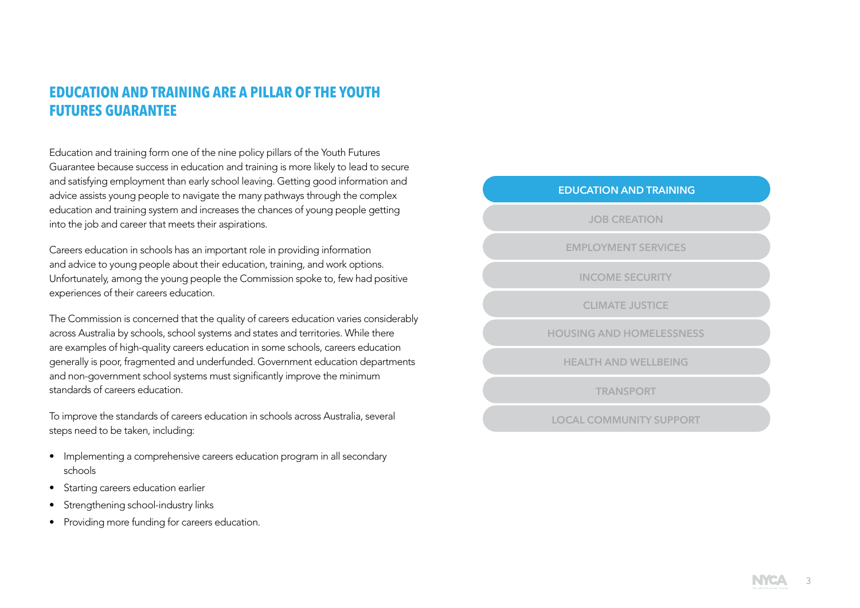# **EDUCATION AND TRAINING ARE A PILLAR OF THE YOUTH FUTURES GUARANTEE**

Education and training form one of the nine policy pillars of the Youth Futures Guarantee because success in education and training is more likely to lead to secure and satisfying employment than early school leaving. Getting good information and advice assists young people to navigate the many pathways through the complex education and training system and increases the chances of young people getting into the job and career that meets their aspirations.

Careers education in schools has an important role in providing information and advice to young people about their education, training, and work options. Unfortunately, among the young people the Commission spoke to, few had positive experiences of their careers education.

The Commission is concerned that the quality of careers education varies considerably across Australia by schools, school systems and states and territories. While there are examples of high-quality careers education in some schools, careers education generally is poor, fragmented and underfunded. Government education departments and non-government school systems must significantly improve the minimum standards of careers education.

To improve the standards of careers education in schools across Australia, several steps need to be taken, including:

- Implementing a comprehensive careers education program in all secondary schools
- Starting careers education earlier
- Strengthening school-industry links
- Providing more funding for careers education.

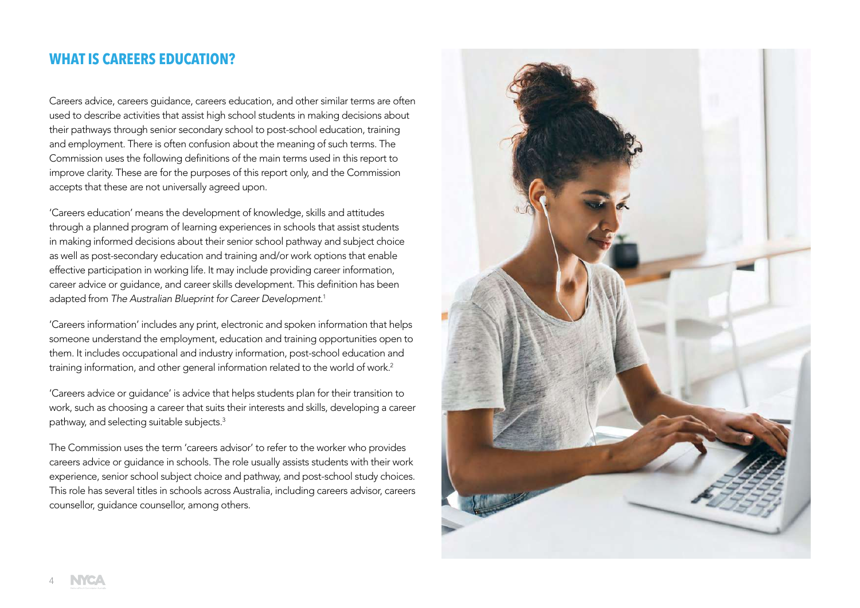## **WHAT IS CAREERS EDUCATION?**

Careers advice, careers guidance, careers education, and other similar terms are often used to describe activities that assist high school students in making decisions about their pathways through senior secondary school to post-school education, training and employment. There is often confusion about the meaning of such terms. The Commission uses the following definitions of the main terms used in this report to improve clarity. These are for the purposes of this report only, and the Commission accepts that these are not universally agreed upon.

'Careers education' means the development of knowledge, skills and attitudes through a planned program of learning experiences in schools that assist students in making informed decisions about their senior school pathway and subject choice as well as post-secondary education and training and/or work options that enable effective participation in working life. It may include providing career information, career advice or guidance, and career skills development. This definition has been adapted from *The Australian Blueprint for Career Development*. 1

'Careers information' includes any print, electronic and spoken information that helps someone understand the employment, education and training opportunities open to them. It includes occupational and industry information, post-school education and training information, and other general information related to the world of work.2

'Careers advice or guidance' is advice that helps students plan for their transition to work, such as choosing a career that suits their interests and skills, developing a career pathway, and selecting suitable subjects.3

The Commission uses the term 'careers advisor' to refer to the worker who provides careers advice or guidance in schools. The role usually assists students with their work experience, senior school subject choice and pathway, and post-school study choices. This role has several titles in schools across Australia, including careers advisor, careers counsellor, guidance counsellor, among others.



4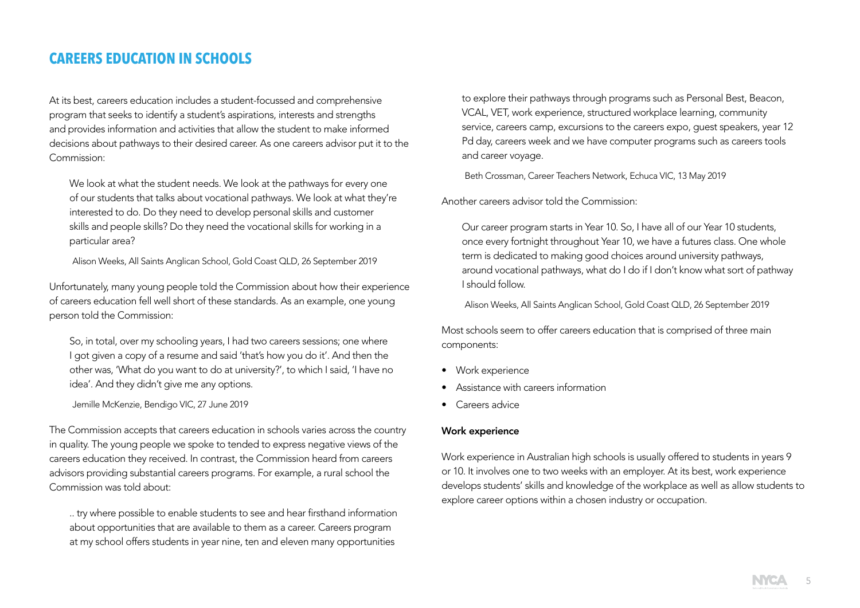## **CAREERS EDUCATION IN SCHOOLS**

At its best, careers education includes a student-focussed and comprehensive program that seeks to identify a student's aspirations, interests and strengths and provides information and activities that allow the student to make informed decisions about pathways to their desired career. As one careers advisor put it to the Commission:

We look at what the student needs. We look at the pathways for every one of our students that talks about vocational pathways. We look at what they're interested to do. Do they need to develop personal skills and customer skills and people skills? Do they need the vocational skills for working in a particular area?

Alison Weeks, All Saints Anglican School, Gold Coast QLD, 26 September 2019

Unfortunately, many young people told the Commission about how their experience of careers education fell well short of these standards. As an example, one young person told the Commission:

So, in total, over my schooling years, I had two careers sessions; one where I got given a copy of a resume and said 'that's how you do it'. And then the other was, 'What do you want to do at university?', to which I said, 'I have no idea'. And they didn't give me any options.

Jemille McKenzie, Bendigo VIC, 27 June 2019

The Commission accepts that careers education in schools varies across the country in quality. The young people we spoke to tended to express negative views of the careers education they received. In contrast, the Commission heard from careers advisors providing substantial careers programs. For example, a rural school the Commission was told about:

.. try where possible to enable students to see and hear firsthand information about opportunities that are available to them as a career. Careers program at my school offers students in year nine, ten and eleven many opportunities

to explore their pathways through programs such as Personal Best, Beacon, VCAL, VET, work experience, structured workplace learning, community service, careers camp, excursions to the careers expo, guest speakers, year 12 Pd day, careers week and we have computer programs such as careers tools and career voyage.

Beth Crossman, Career Teachers Network, Echuca VIC, 13 May 2019

Another careers advisor told the Commission:

Our career program starts in Year 10. So, I have all of our Year 10 students, once every fortnight throughout Year 10, we have a futures class. One whole term is dedicated to making good choices around university pathways, around vocational pathways, what do I do if I don't know what sort of pathway I should follow.

Alison Weeks, All Saints Anglican School, Gold Coast QLD, 26 September 2019

Most schools seem to offer careers education that is comprised of three main components:

- Work experience
- Assistance with careers information
- Careers advice

#### Work experience

Work experience in Australian high schools is usually offered to students in years 9 or 10. It involves one to two weeks with an employer. At its best, work experience develops students' skills and knowledge of the workplace as well as allow students to explore career options within a chosen industry or occupation.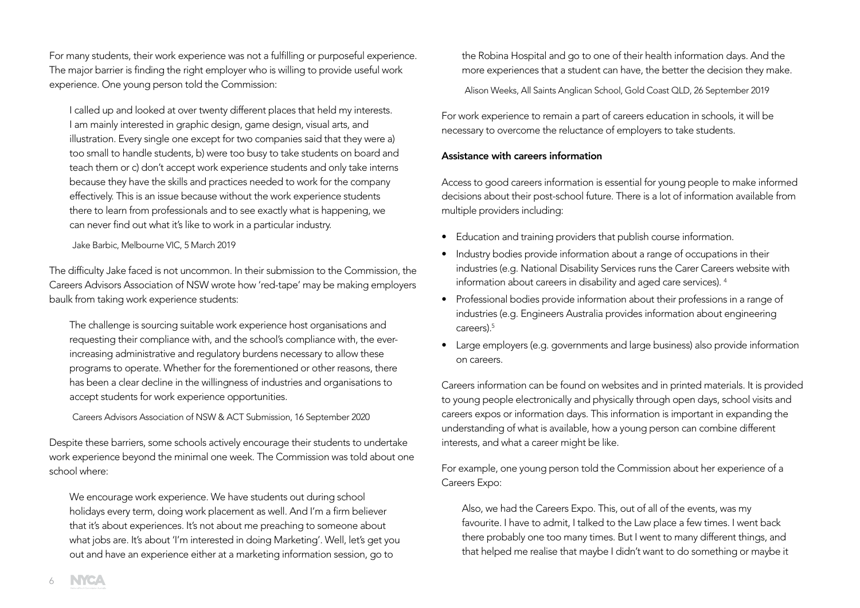For many students, their work experience was not a fulfilling or purposeful experience. The major barrier is finding the right employer who is willing to provide useful work experience. One young person told the Commission:

I called up and looked at over twenty different places that held my interests. I am mainly interested in graphic design, game design, visual arts, and illustration. Every single one except for two companies said that they were a) too small to handle students, b) were too busy to take students on board and teach them or c) don't accept work experience students and only take interns because they have the skills and practices needed to work for the company effectively. This is an issue because without the work experience students there to learn from professionals and to see exactly what is happening, we can never find out what it's like to work in a particular industry.

Jake Barbic, Melbourne VIC, 5 March 2019

The difficulty Jake faced is not uncommon. In their submission to the Commission, the Careers Advisors Association of NSW wrote how 'red-tape' may be making employers baulk from taking work experience students:

The challenge is sourcing suitable work experience host organisations and requesting their compliance with, and the school's compliance with, the everincreasing administrative and regulatory burdens necessary to allow these programs to operate. Whether for the forementioned or other reasons, there has been a clear decline in the willingness of industries and organisations to accept students for work experience opportunities.

Careers Advisors Association of NSW & ACT Submission, 16 September 2020

Despite these barriers, some schools actively encourage their students to undertake work experience beyond the minimal one week. The Commission was told about one school where:

We encourage work experience. We have students out during school holidays every term, doing work placement as well. And I'm a firm believer that it's about experiences. It's not about me preaching to someone about what jobs are. It's about 'I'm interested in doing Marketing'. Well, let's get you out and have an experience either at a marketing information session, go to

the Robina Hospital and go to one of their health information days. And the more experiences that a student can have, the better the decision they make.

Alison Weeks, All Saints Anglican School, Gold Coast QLD, 26 September 2019

For work experience to remain a part of careers education in schools, it will be necessary to overcome the reluctance of employers to take students.

#### Assistance with careers information

Access to good careers information is essential for young people to make informed decisions about their post-school future. There is a lot of information available from multiple providers including:

- Education and training providers that publish course information.
- Industry bodies provide information about a range of occupations in their industries (e.g. National Disability Services runs the Carer Careers website with information about careers in disability and aged care services). 4
- Professional bodies provide information about their professions in a range of industries (e.g. Engineers Australia provides information about engineering careers).5
- Large employers (e.g. governments and large business) also provide information on careers.

Careers information can be found on websites and in printed materials. It is provided to young people electronically and physically through open days, school visits and careers expos or information days. This information is important in expanding the understanding of what is available, how a young person can combine different interests, and what a career might be like.

For example, one young person told the Commission about her experience of a Careers Expo:

Also, we had the Careers Expo. This, out of all of the events, was my favourite. I have to admit, I talked to the Law place a few times. I went back there probably one too many times. But I went to many different things, and that helped me realise that maybe I didn't want to do something or maybe it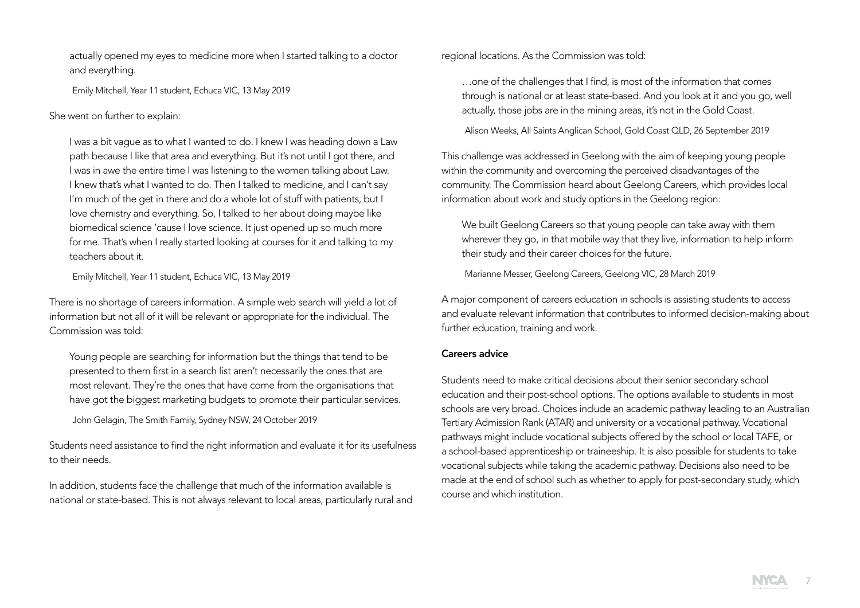actually opened my eyes to medicine more when I started talking to a doctor and everything.

Emily Mitchell, Year 11 student, Echuca VIC, 13 May 2019

## She went on further to explain:

I was a bit vague as to what I wanted to do. I knew I was heading down a Law path because I like that area and everything. But it's not until I got there, and I was in awe the entire time I was listening to the women talking about Law. I knew that's what I wanted to do. Then I talked to medicine, and I can't say I'm much of the get in there and do a whole lot of stuff with patients, but I love chemistry and everything. So, I talked to her about doing maybe like biomedical science 'cause I love science. It just opened up so much more for me. That's when I really started looking at courses for it and talking to my teachers about it.

Emily Mitchell, Year 11 student, Echuca VIC, 13 May 2019

There is no shortage of careers information. A simple web search will yield a lot of information but not all of it will be relevant or appropriate for the individual. The Commission was told:

Young people are searching for information but the things that tend to be presented to them first in a search list aren't necessarily the ones that are most relevant. They're the ones that have come from the organisations that have got the biggest marketing budgets to promote their particular services.

John Gelagin, The Smith Family, Sydney NSW, 24 October 2019

Students need assistance to find the right information and evaluate it for its usefulness to their needs.

In addition, students face the challenge that much of the information available is national or state-based. This is not always relevant to local areas, particularly rural and regional locations. As the Commission was told:

…one of the challenges that I find, is most of the information that comes through is national or at least state-based. And you look at it and you go, well actually, those jobs are in the mining areas, it's not in the Gold Coast.

Alison Weeks, All Saints Anglican School, Gold Coast QLD, 26 September 2019

This challenge was addressed in Geelong with the aim of keeping young people within the community and overcoming the perceived disadvantages of the community. The Commission heard about Geelong Careers, which provides local information about work and study options in the Geelong region:

We built Geelong Careers so that young people can take away with them wherever they go, in that mobile way that they live, information to help inform their study and their career choices for the future.

Marianne Messer, Geelong Careers, Geelong VIC, 28 March 2019

A major component of careers education in schools is assisting students to access and evaluate relevant information that contributes to informed decision-making about further education, training and work.

## Careers advice

Students need to make critical decisions about their senior secondary school education and their post-school options. The options available to students in most schools are very broad. Choices include an academic pathway leading to an Australian Tertiary Admission Rank (ATAR) and university or a vocational pathway. Vocational pathways might include vocational subjects offered by the school or local TAFE, or a school-based apprenticeship or traineeship. It is also possible for students to take vocational subjects while taking the academic pathway. Decisions also need to be made at the end of school such as whether to apply for post-secondary study, which course and which institution.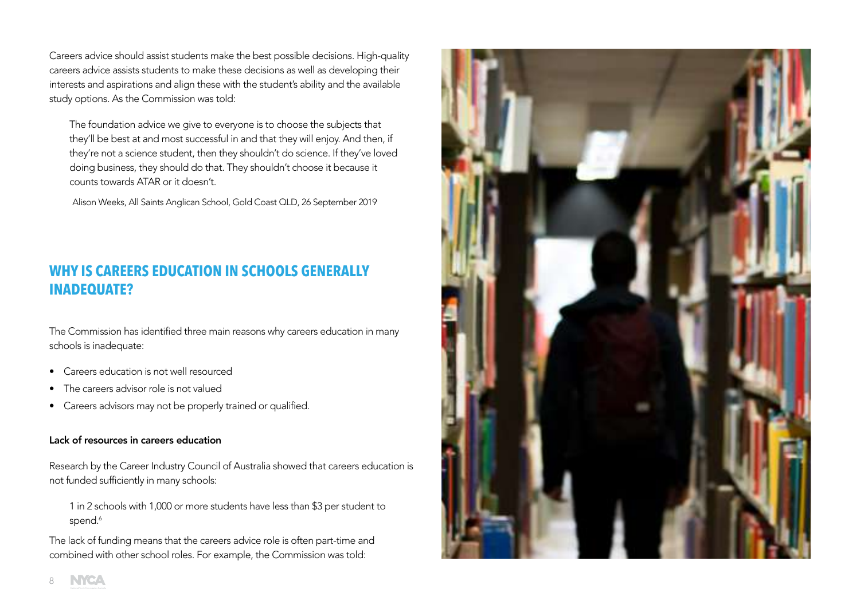Careers advice should assist students make the best possible decisions. High-quality careers advice assists students to make these decisions as well as developing their interests and aspirations and align these with the student's ability and the available study options. As the Commission was told:

The foundation advice we give to everyone is to choose the subjects that they'll be best at and most successful in and that they will enjoy. And then, if they're not a science student, then they shouldn't do science. If they've loved doing business, they should do that. They shouldn't choose it because it counts towards ATAR or it doesn't.

Alison Weeks, All Saints Anglican School, Gold Coast QLD, 26 September 2019

# **WHY IS CAREERS EDUCATION IN SCHOOLS GENERALLY INADEQUATE?**

The Commission has identified three main reasons why careers education in many schools is inadequate:

- Careers education is not well resourced
- The careers advisor role is not valued
- Careers advisors may not be properly trained or qualified.

## Lack of resources in careers education

Research by the Career Industry Council of Australia showed that careers education is not funded sufficiently in many schools:

1 in 2 schools with 1,000 or more students have less than \$3 per student to spend.<sup>6</sup>

The lack of funding means that the careers advice role is often part-time and combined with other school roles. For example, the Commission was told:

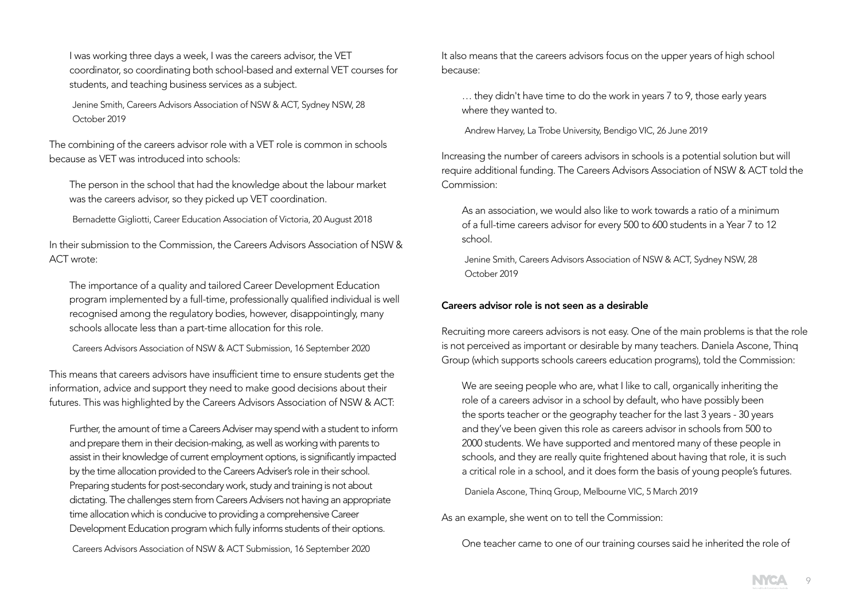I was working three days a week, I was the careers advisor, the VET coordinator, so coordinating both school-based and external VET courses for students, and teaching business services as a subject.

Jenine Smith, Careers Advisors Association of NSW & ACT, Sydney NSW, 28 October 2019

The combining of the careers advisor role with a VET role is common in schools because as VET was introduced into schools:

The person in the school that had the knowledge about the labour market was the careers advisor, so they picked up VET coordination.

Bernadette Gigliotti, Career Education Association of Victoria, 20 August 2018

In their submission to the Commission, the Careers Advisors Association of NSW & ACT wrote:

The importance of a quality and tailored Career Development Education program implemented by a full-time, professionally qualified individual is well recognised among the regulatory bodies, however, disappointingly, many schools allocate less than a part-time allocation for this role.

Careers Advisors Association of NSW & ACT Submission, 16 September 2020

This means that careers advisors have insufficient time to ensure students get the information, advice and support they need to make good decisions about their futures. This was highlighted by the Careers Advisors Association of NSW & ACT:

Further, the amount of time a Careers Adviser may spend with a student to inform and prepare them in their decision-making, as well as working with parents to assist in their knowledge of current employment options, is significantly impacted by the time allocation provided to the Careers Adviser's role in their school. Preparing students for post-secondary work, study and training is not about dictating. The challenges stem from Careers Advisers not having an appropriate time allocation which is conducive to providing a comprehensive Career Development Education program which fully informs students of their options.

Careers Advisors Association of NSW & ACT Submission, 16 September 2020

It also means that the careers advisors focus on the upper years of high school because:

… they didn't have time to do the work in years 7 to 9, those early years where they wanted to.

Andrew Harvey, La Trobe University, Bendigo VIC, 26 June 2019

Increasing the number of careers advisors in schools is a potential solution but will require additional funding. The Careers Advisors Association of NSW & ACT told the Commission:

As an association, we would also like to work towards a ratio of a minimum of a full-time careers advisor for every 500 to 600 students in a Year 7 to 12 school.

Jenine Smith, Careers Advisors Association of NSW & ACT, Sydney NSW, 28 October 2019

#### Careers advisor role is not seen as a desirable

Recruiting more careers advisors is not easy. One of the main problems is that the role is not perceived as important or desirable by many teachers. Daniela Ascone, Thinq Group (which supports schools careers education programs), told the Commission:

We are seeing people who are, what I like to call, organically inheriting the role of a careers advisor in a school by default, who have possibly been the sports teacher or the geography teacher for the last 3 years - 30 years and they've been given this role as careers advisor in schools from 500 to 2000 students. We have supported and mentored many of these people in schools, and they are really quite frightened about having that role, it is such a critical role in a school, and it does form the basis of young people's futures.

Daniela Ascone, Thinq Group, Melbourne VIC, 5 March 2019

As an example, she went on to tell the Commission:

One teacher came to one of our training courses said he inherited the role of

9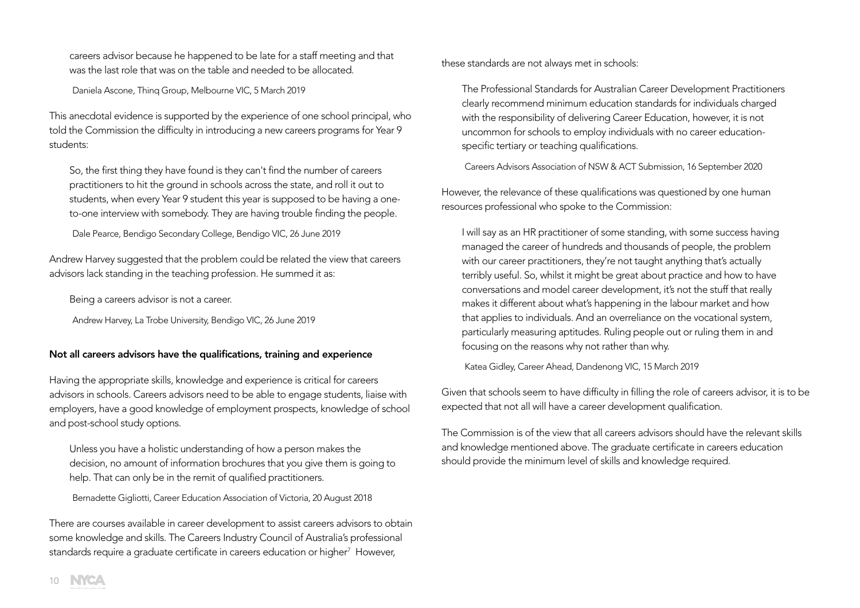careers advisor because he happened to be late for a staff meeting and that was the last role that was on the table and needed to be allocated.

Daniela Ascone, Thinq Group, Melbourne VIC, 5 March 2019

This anecdotal evidence is supported by the experience of one school principal, who told the Commission the difficulty in introducing a new careers programs for Year 9 students:

So, the first thing they have found is they can't find the number of careers practitioners to hit the ground in schools across the state, and roll it out to students, when every Year 9 student this year is supposed to be having a oneto-one interview with somebody. They are having trouble finding the people.

Dale Pearce, Bendigo Secondary College, Bendigo VIC, 26 June 2019

Andrew Harvey suggested that the problem could be related the view that careers advisors lack standing in the teaching profession. He summed it as:

Being a careers advisor is not a career.

Andrew Harvey, La Trobe University, Bendigo VIC, 26 June 2019

## Not all careers advisors have the qualifications, training and experience

Having the appropriate skills, knowledge and experience is critical for careers advisors in schools. Careers advisors need to be able to engage students, liaise with employers, have a good knowledge of employment prospects, knowledge of school and post-school study options.

Unless you have a holistic understanding of how a person makes the decision, no amount of information brochures that you give them is going to help. That can only be in the remit of qualified practitioners.

Bernadette Gigliotti, Career Education Association of Victoria, 20 August 2018

There are courses available in career development to assist careers advisors to obtain some knowledge and skills. The Careers Industry Council of Australia's professional standards require a graduate certificate in careers education or higher<sup>7</sup> However,

these standards are not always met in schools:

The Professional Standards for Australian Career Development Practitioners clearly recommend minimum education standards for individuals charged with the responsibility of delivering Career Education, however, it is not uncommon for schools to employ individuals with no career educationspecific tertiary or teaching qualifications.

Careers Advisors Association of NSW & ACT Submission, 16 September 2020

However, the relevance of these qualifications was questioned by one human resources professional who spoke to the Commission:

I will say as an HR practitioner of some standing, with some success having managed the career of hundreds and thousands of people, the problem with our career practitioners, they're not taught anything that's actually terribly useful. So, whilst it might be great about practice and how to have conversations and model career development, it's not the stuff that really makes it different about what's happening in the labour market and how that applies to individuals. And an overreliance on the vocational system, particularly measuring aptitudes. Ruling people out or ruling them in and focusing on the reasons why not rather than why.

Katea Gidley, Career Ahead, Dandenong VIC, 15 March 2019

Given that schools seem to have difficulty in filling the role of careers advisor, it is to be expected that not all will have a career development qualification.

The Commission is of the view that all careers advisors should have the relevant skills and knowledge mentioned above. The graduate certificate in careers education should provide the minimum level of skills and knowledge required.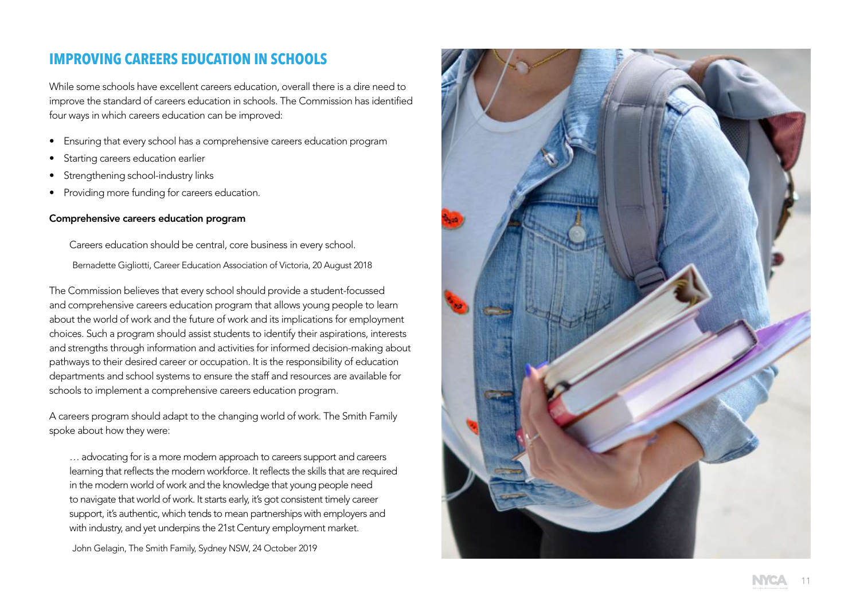# **IMPROVING CAREERS EDUCATION IN SCHOOLS**

While some schools have excellent careers education, overall there is a dire need to improve the standard of careers education in schools. The Commission has identified four ways in which careers education can be improved:

- Ensuring that every school has a comprehensive careers education program
- Starting careers education earlier
- Strengthening school-industry links
- Providing more funding for careers education.

#### Comprehensive careers education program

Careers education should be central, core business in every school. Bernadette Gigliotti, Career Education Association of Victoria, 20 August 2018

The Commission believes that every school should provide a student-focussed and comprehensive careers education program that allows young people to learn about the world of work and the future of work and its implications for employment choices. Such a program should assist students to identify their aspirations, interests and strengths through information and activities for informed decision-making about pathways to their desired career or occupation. It is the responsibility of education departments and school systems to ensure the staff and resources are available for schools to implement a comprehensive careers education program.

A careers program should adapt to the changing world of work. The Smith Family spoke about how they were:

… advocating for is a more modern approach to careers support and careers learning that reflects the modern workforce. It reflects the skills that are required in the modern world of work and the knowledge that young people need to navigate that world of work. It starts early, it's got consistent timely career support, it's authentic, which tends to mean partnerships with employers and with industry, and yet underpins the 21st Century employment market.

John Gelagin, The Smith Family, Sydney NSW, 24 October 2019

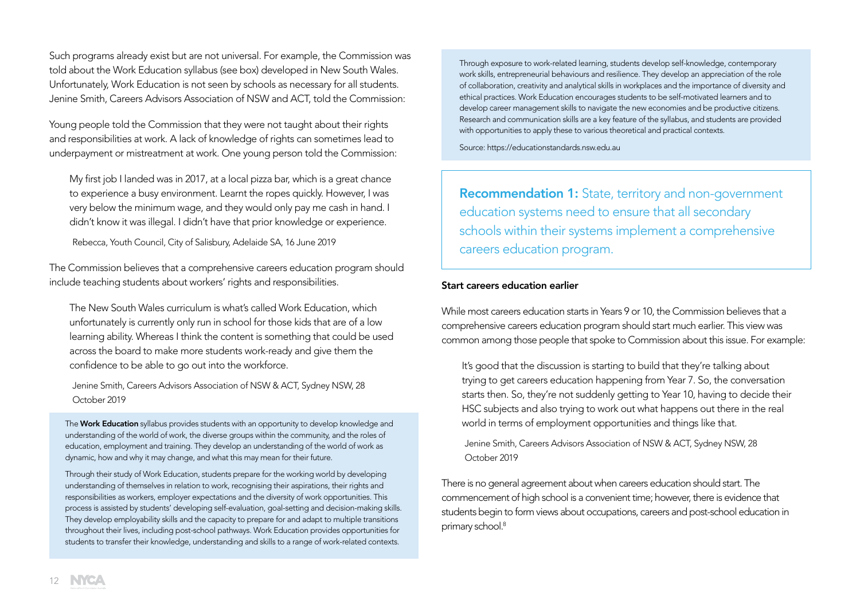Such programs already exist but are not universal. For example, the Commission was told about the Work Education syllabus (see box) developed in New South Wales. Unfortunately, Work Education is not seen by schools as necessary for all students. Jenine Smith, Careers Advisors Association of NSW and ACT, told the Commission:

Young people told the Commission that they were not taught about their rights and responsibilities at work. A lack of knowledge of rights can sometimes lead to underpayment or mistreatment at work. One young person told the Commission:

My first job I landed was in 2017, at a local pizza bar, which is a great chance to experience a busy environment. Learnt the ropes quickly. However, I was very below the minimum wage, and they would only pay me cash in hand. I didn't know it was illegal. I didn't have that prior knowledge or experience.

Rebecca, Youth Council, City of Salisbury, Adelaide SA, 16 June 2019

The Commission believes that a comprehensive careers education program should include teaching students about workers' rights and responsibilities.

The New South Wales curriculum is what's called Work Education, which unfortunately is currently only run in school for those kids that are of a low learning ability. Whereas I think the content is something that could be used across the board to make more students work-ready and give them the confidence to be able to go out into the workforce.

Jenine Smith, Careers Advisors Association of NSW & ACT, Sydney NSW, 28 October 2019

The Work Education syllabus provides students with an opportunity to develop knowledge and understanding of the world of work, the diverse groups within the community, and the roles of education, employment and training. They develop an understanding of the world of work as dynamic, how and why it may change, and what this may mean for their future.

Through their study of Work Education, students prepare for the working world by developing understanding of themselves in relation to work, recognising their aspirations, their rights and responsibilities as workers, employer expectations and the diversity of work opportunities. This process is assisted by students' developing self-evaluation, goal-setting and decision-making skills. They develop employability skills and the capacity to prepare for and adapt to multiple transitions throughout their lives, including post-school pathways. Work Education provides opportunities for students to transfer their knowledge, understanding and skills to a range of work-related contexts.

Through exposure to work-related learning, students develop self-knowledge, contemporary work skills, entrepreneurial behaviours and resilience. They develop an appreciation of the role of collaboration, creativity and analytical skills in workplaces and the importance of diversity and ethical practices. Work Education encourages students to be self-motivated learners and to develop career management skills to navigate the new economies and be productive citizens. Research and communication skills are a key feature of the syllabus, and students are provided with opportunities to apply these to various theoretical and practical contexts.

Source: https://educationstandards.nsw.edu.au

Recommendation 1: State, territory and non-government education systems need to ensure that all secondary schools within their systems implement a comprehensive careers education program.

#### Start careers education earlier

While most careers education starts in Years 9 or 10, the Commission believes that a comprehensive careers education program should start much earlier. This view was common among those people that spoke to Commission about this issue. For example:

It's good that the discussion is starting to build that they're talking about trying to get careers education happening from Year 7. So, the conversation starts then. So, they're not suddenly getting to Year 10, having to decide their HSC subjects and also trying to work out what happens out there in the real world in terms of employment opportunities and things like that.

Jenine Smith, Careers Advisors Association of NSW & ACT, Sydney NSW, 28 October 2019

There is no general agreement about when careers education should start. The commencement of high school is a convenient time; however, there is evidence that students begin to form views about occupations, careers and post-school education in primary school.<sup>8</sup>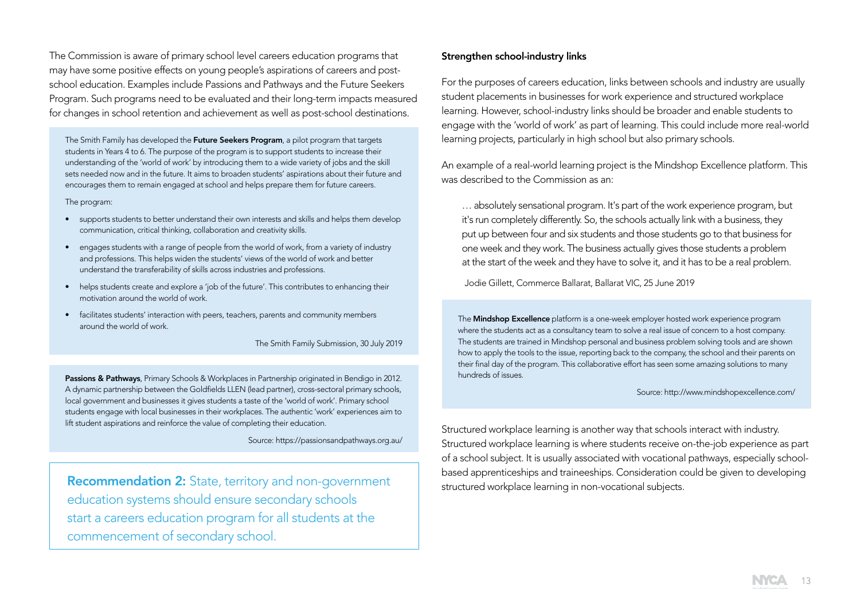The Commission is aware of primary school level careers education programs that may have some positive effects on young people's aspirations of careers and postschool education. Examples include Passions and Pathways and the Future Seekers Program. Such programs need to be evaluated and their long-term impacts measured for changes in school retention and achievement as well as post-school destinations.

The Smith Family has developed the Future Seekers Program, a pilot program that targets students in Years 4 to 6. The purpose of the program is to support students to increase their understanding of the 'world of work' by introducing them to a wide variety of jobs and the skill sets needed now and in the future. It aims to broaden students' aspirations about their future and encourages them to remain engaged at school and helps prepare them for future careers.

#### The program:

- supports students to better understand their own interests and skills and helps them develop communication, critical thinking, collaboration and creativity skills.
- engages students with a range of people from the world of work, from a variety of industry and professions. This helps widen the students' views of the world of work and better understand the transferability of skills across industries and professions.
- helps students create and explore a 'job of the future'. This contributes to enhancing their motivation around the world of work.
- facilitates students' interaction with peers, teachers, parents and community members around the world of work.

The Smith Family Submission, 30 July 2019

Passions & Pathways, Primary Schools & Workplaces in Partnership originated in Bendigo in 2012. A dynamic partnership between the Goldfields LLEN (lead partner), cross-sectoral primary schools, local government and businesses it gives students a taste of the 'world of work'. Primary school students engage with local businesses in their workplaces. The authentic 'work' experiences aim to lift student aspirations and reinforce the value of completing their education.

Source: https://passionsandpathways.org.au/

Recommendation 2: State, territory and non-government education systems should ensure secondary schools start a careers education program for all students at the commencement of secondary school.

#### Strengthen school-industry links

For the purposes of careers education, links between schools and industry are usually student placements in businesses for work experience and structured workplace learning. However, school-industry links should be broader and enable students to engage with the 'world of work' as part of learning. This could include more real-world learning projects, particularly in high school but also primary schools.

An example of a real-world learning project is the Mindshop Excellence platform. This was described to the Commission as an:

… absolutely sensational program. It's part of the work experience program, but it's run completely differently. So, the schools actually link with a business, they put up between four and six students and those students go to that business for one week and they work. The business actually gives those students a problem at the start of the week and they have to solve it, and it has to be a real problem.

Jodie Gillett, Commerce Ballarat, Ballarat VIC, 25 June 2019

The Mindshop Excellence platform is a one-week employer hosted work experience program where the students act as a consultancy team to solve a real issue of concern to a host company. The students are trained in Mindshop personal and business problem solving tools and are shown how to apply the tools to the issue, reporting back to the company, the school and their parents on their final day of the program. This collaborative effort has seen some amazing solutions to many hundreds of issues.

#### Source: http://www.mindshopexcellence.com/

Structured workplace learning is another way that schools interact with industry. Structured workplace learning is where students receive on-the-job experience as part of a school subject. It is usually associated with vocational pathways, especially schoolbased apprenticeships and traineeships. Consideration could be given to developing structured workplace learning in non-vocational subjects.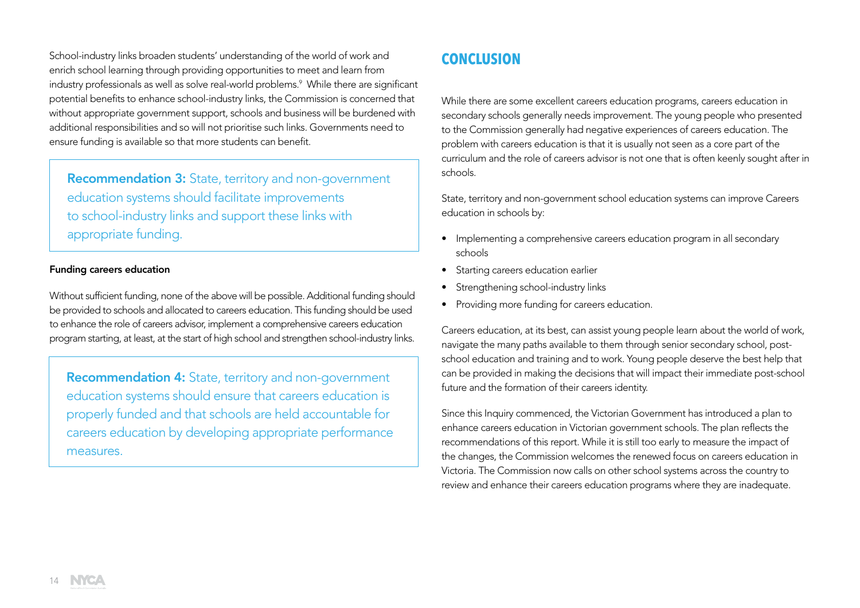School-industry links broaden students' understanding of the world of work and enrich school learning through providing opportunities to meet and learn from industry professionals as well as solve real-world problems. $^{\circ}$  While there are significant potential benefits to enhance school-industry links, the Commission is concerned that without appropriate government support, schools and business will be burdened with additional responsibilities and so will not prioritise such links. Governments need to ensure funding is available so that more students can benefit.

Recommendation 3: State, territory and non-government education systems should facilitate improvements to school-industry links and support these links with appropriate funding.

#### Funding careers education

Without sufficient funding, none of the above will be possible. Additional funding should be provided to schools and allocated to careers education. This funding should be used to enhance the role of careers advisor, implement a comprehensive careers education program starting, at least, at the start of high school and strengthen school-industry links.

Recommendation 4: State, territory and non-government education systems should ensure that careers education is properly funded and that schools are held accountable for careers education by developing appropriate performance measures.

## **CONCLUSION**

While there are some excellent careers education programs, careers education in secondary schools generally needs improvement. The young people who presented to the Commission generally had negative experiences of careers education. The problem with careers education is that it is usually not seen as a core part of the curriculum and the role of careers advisor is not one that is often keenly sought after in schools.

State, territory and non-government school education systems can improve Careers education in schools by:

- Implementing a comprehensive careers education program in all secondary schools
- Starting careers education earlier
- Strengthening school-industry links
- Providing more funding for careers education.

Careers education, at its best, can assist young people learn about the world of work, navigate the many paths available to them through senior secondary school, postschool education and training and to work. Young people deserve the best help that can be provided in making the decisions that will impact their immediate post-school future and the formation of their careers identity.

Since this Inquiry commenced, the Victorian Government has introduced a plan to enhance careers education in Victorian government schools. The plan reflects the recommendations of this report. While it is still too early to measure the impact of the changes, the Commission welcomes the renewed focus on careers education in Victoria. The Commission now calls on other school systems across the country to review and enhance their careers education programs where they are inadequate.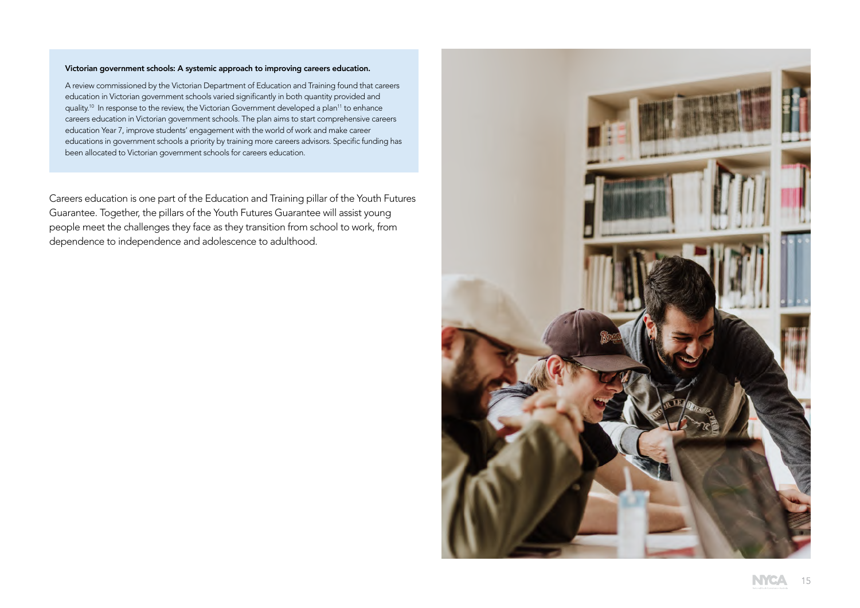#### Victorian government schools: A systemic approach to improving careers education.

A review commissioned by the Victorian Department of Education and Training found that careers education in Victorian government schools varied significantly in both quantity provided and quality.<sup>10</sup> In response to the review, the Victorian Government developed a plan<sup>11</sup> to enhance careers education in Victorian government schools. The plan aims to start comprehensive careers education Year 7, improve students' engagement with the world of work and make career educations in government schools a priority by training more careers advisors. Specific funding has been allocated to Victorian government schools for careers education.

Careers education is one part of the Education and Training pillar of the Youth Futures Guarantee. Together, the pillars of the Youth Futures Guarantee will assist young people meet the challenges they face as they transition from school to work, from dependence to independence and adolescence to adulthood.

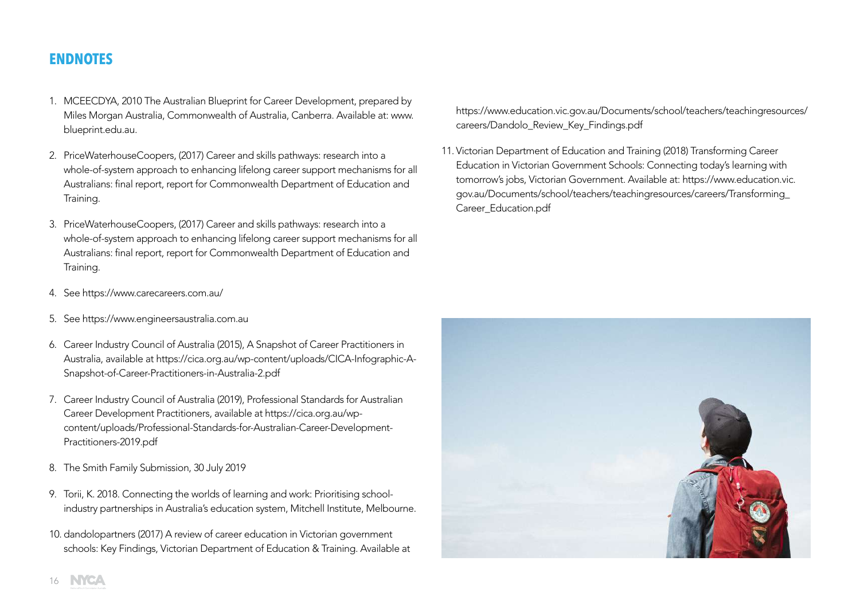## **ENDNOTES**

- 1. MCEECDYA, 2010 The Australian Blueprint for Career Development, prepared by Miles Morgan Australia, Commonwealth of Australia, Canberra. Available at: www. blueprint.edu.au.
- 2. PriceWaterhouseCoopers, (2017) Career and skills pathways: research into a whole-of-system approach to enhancing lifelong career support mechanisms for all Australians: final report, report for Commonwealth Department of Education and Training.
- 3. PriceWaterhouseCoopers, (2017) Career and skills pathways: research into a whole-of-system approach to enhancing lifelong career support mechanisms for all Australians: final report, report for Commonwealth Department of Education and Training.
- 4. See https://www.carecareers.com.au/
- 5. See https://www.engineersaustralia.com.au
- 6. Career Industry Council of Australia (2015), A Snapshot of Career Practitioners in Australia, available at https://cica.org.au/wp-content/uploads/CICA-Infographic-A-Snapshot-of-Career-Practitioners-in-Australia-2.pdf
- 7. Career Industry Council of Australia (2019), Professional Standards for Australian Career Development Practitioners, available at https://cica.org.au/wpcontent/uploads/Professional-Standards-for-Australian-Career-Development-Practitioners-2019.pdf
- 8. The Smith Family Submission, 30 July 2019
- 9. Torii, K. 2018. Connecting the worlds of learning and work: Prioritising schoolindustry partnerships in Australia's education system, Mitchell Institute, Melbourne.
- 10. dandolopartners (2017) A review of career education in Victorian government schools: Key Findings, Victorian Department of Education & Training. Available at

https://www.education.vic.gov.au/Documents/school/teachers/teachingresources/ careers/Dandolo\_Review\_Key\_Findings.pdf

11. Victorian Department of Education and Training (2018) Transforming Career Education in Victorian Government Schools: Connecting today's learning with tomorrow's jobs, Victorian Government. Available at: https://www.education.vic. gov.au/Documents/school/teachers/teachingresources/careers/Transforming\_ Career\_Education.pdf



16